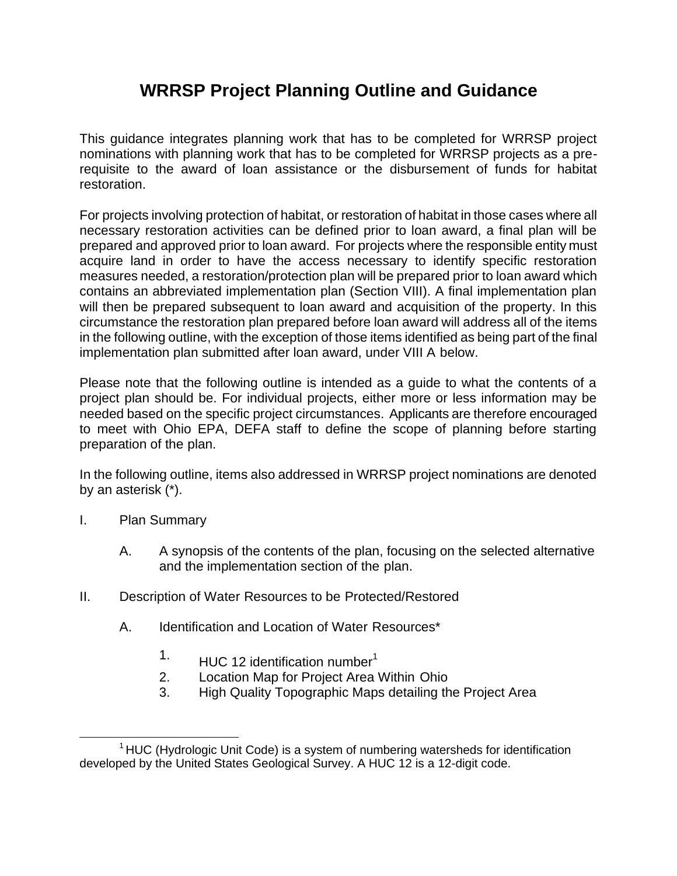## **WRRSP Project Planning Outline and Guidance**

This guidance integrates planning work that has to be completed for WRRSP project nominations with planning work that has to be completed for WRRSP projects as a prerequisite to the award of loan assistance or the disbursement of funds for habitat restoration.

For projects involving protection of habitat, or restoration of habitat in those cases where all necessary restoration activities can be defined prior to loan award, a final plan will be prepared and approved prior to loan award. For projects where the responsible entity must acquire land in order to have the access necessary to identify specific restoration measures needed, a restoration/protection plan will be prepared prior to loan award which contains an abbreviated implementation plan (Section VIII). A final implementation plan will then be prepared subsequent to loan award and acquisition of the property. In this circumstance the restoration plan prepared before loan award will address all of the items in the following outline, with the exception of those items identified as being part of the final implementation plan submitted after loan award, under VIII A below.

Please note that the following outline is intended as a guide to what the contents of a project plan should be. For individual projects, either more or less information may be needed based on the specific project circumstances. Applicants are therefore encouraged to meet with Ohio EPA, DEFA staff to define the scope of planning before starting preparation of the plan.

In the following outline, items also addressed in WRRSP project nominations are denoted by an asterisk (\*).

- I. Plan Summary
	- A. A synopsis of the contents of the plan, focusing on the selected alternative and the implementation section of the plan.
- II. Description of Water Resources to be Protected/Restored
	- A. Identification and Location of Water Resources\*
		- $1.$  HUC 12 identification number<sup>1</sup>
		- 2. Location Map for Project Area Within Ohio
		- 3. High Quality Topographic Maps detailing the Project Area

 $1$ HUC (Hydrologic Unit Code) is a system of numbering watersheds for identification developed by the United States Geological Survey. A HUC 12 is a 12-digit code.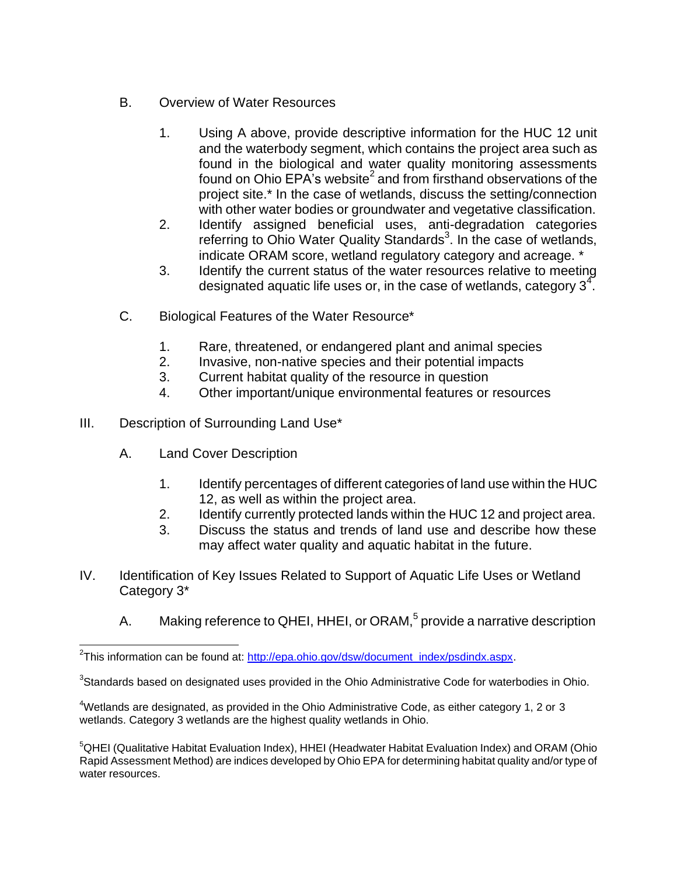- B. Overview of Water Resources
	- 1. Using A above, provide descriptive information for the HUC 12 unit and the waterbody segment, which contains the project area such as found in the biological and water quality monitoring assessments found on Ohio EPA's website<sup>2</sup> and from firsthand observations of the project site.\* In the case of wetlands, discuss the setting/connection with other water bodies or groundwater and vegetative classification.
	- 2. Identify assigned beneficial uses, anti-degradation categories referring to Ohio Water Quality Standards<sup>3</sup>. In the case of wetlands, indicate ORAM score, wetland regulatory category and acreage. \*
	- 3. Identify the current status of the water resources relative to meeting designated aquatic life uses or, in the case of wetlands, category  $3^4$ .
- C. Biological Features of the Water Resource\*
	- 1. Rare, threatened, or endangered plant and animal species
	- 2. Invasive, non-native species and their potential impacts
	- 3. Current habitat quality of the resource in question
	- 4. Other important/unique environmental features or resources
- III. Description of Surrounding Land Use\*
	- A. Land Cover Description
		- 1. Identify percentages of different categories of land use within the HUC 12, as well as within the project area.
		- 2. Identify currently protected lands within the HUC 12 and project area.
		- 3. Discuss the status and trends of land use and describe how these may affect water quality and aquatic habitat in the future.
- IV. Identification of Key Issues Related to Support of Aquatic Life Uses or Wetland Category 3\*
	- A. Making reference to QHEI, HHEI, or ORAM,<sup>5</sup> provide a narrative description

 $4$ Wetlands are designated, as provided in the Ohio Administrative Code, as either category 1, 2 or 3 wetlands. Category 3 wetlands are the highest quality wetlands in Ohio.

<sup>5</sup>QHEI (Qualitative Habitat Evaluation Index), HHEI (Headwater Habitat Evaluation Index) and ORAM (Ohio Rapid Assessment Method) are indices developed by Ohio EPA for determining habitat quality and/or type of water resources.

<sup>&</sup>lt;sup>2</sup>This information can be found at: [http://epa.ohio.gov/dsw/document\\_index/psdindx.aspx.](http://epa.ohio.gov/dsw/document_index/psdindx.aspx)

 ${}^{3}$ Standards based on designated uses provided in the Ohio Administrative Code for waterbodies in Ohio.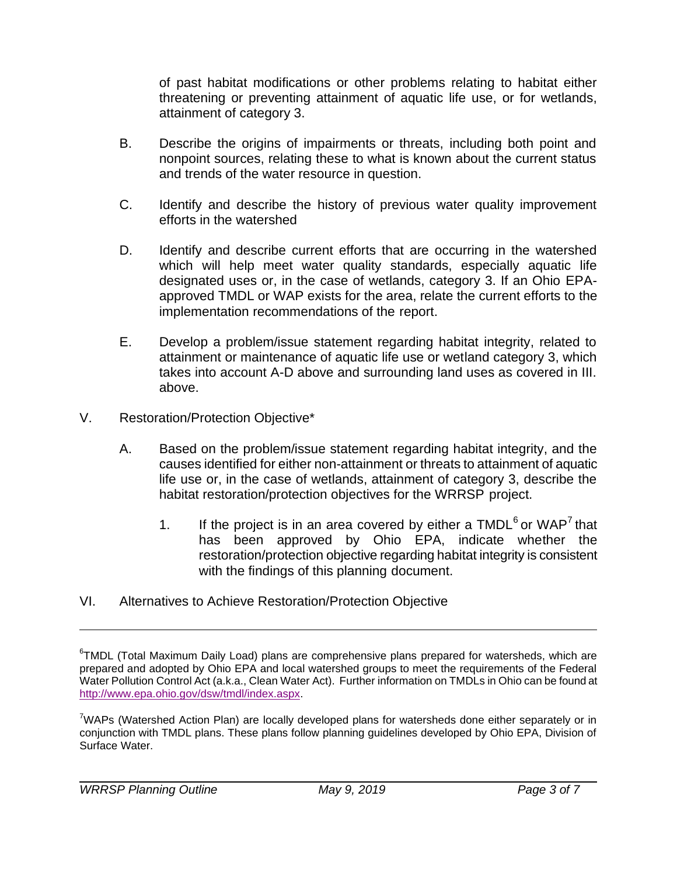of past habitat modifications or other problems relating to habitat either threatening or preventing attainment of aquatic life use, or for wetlands, attainment of category 3.

- B. Describe the origins of impairments or threats, including both point and nonpoint sources, relating these to what is known about the current status and trends of the water resource in question.
- C. Identify and describe the history of previous water quality improvement efforts in the watershed
- D. Identify and describe current efforts that are occurring in the watershed which will help meet water quality standards, especially aquatic life designated uses or, in the case of wetlands, category 3. If an Ohio EPAapproved TMDL or WAP exists for the area, relate the current efforts to the implementation recommendations of the report.
- E. Develop a problem/issue statement regarding habitat integrity, related to attainment or maintenance of aquatic life use or wetland category 3, which takes into account A-D above and surrounding land uses as covered in III. above.
- V. Restoration/Protection Objective\*
	- A. Based on the problem/issue statement regarding habitat integrity, and the causes identified for either non-attainment or threats to attainment of aquatic life use or, in the case of wetlands, attainment of category 3, describe the habitat restoration/protection objectives for the WRRSP project.
		- 1. If the project is in an area covered by either a  $\text{TMDL}^6$  or  $\text{WAP}^7$  that has been approved by Ohio EPA, indicate whether the restoration/protection objective regarding habitat integrity is consistent with the findings of this planning document.
- VI. Alternatives to Achieve Restoration/Protection Objective

 $\textsuperscript{6}$ TMDL (Total Maximum Daily Load) plans are comprehensive plans prepared for watersheds, which are prepared and adopted by Ohio EPA and local watershed groups to meet the requirements of the Federal Water Pollution Control Act (a.k.a., Clean Water Act). Further information on TMDLs in Ohio can be found at [http://www.epa.ohio.gov/dsw/tmdl/index.aspx.](http://www.epa.ohio.gov/dsw/tmdl/index.aspx)

<sup>&</sup>lt;sup>7</sup>WAPs (Watershed Action Plan) are locally developed plans for watersheds done either separately or in conjunction with TMDL plans. These plans follow planning guidelines developed by Ohio EPA, Division of Surface Water.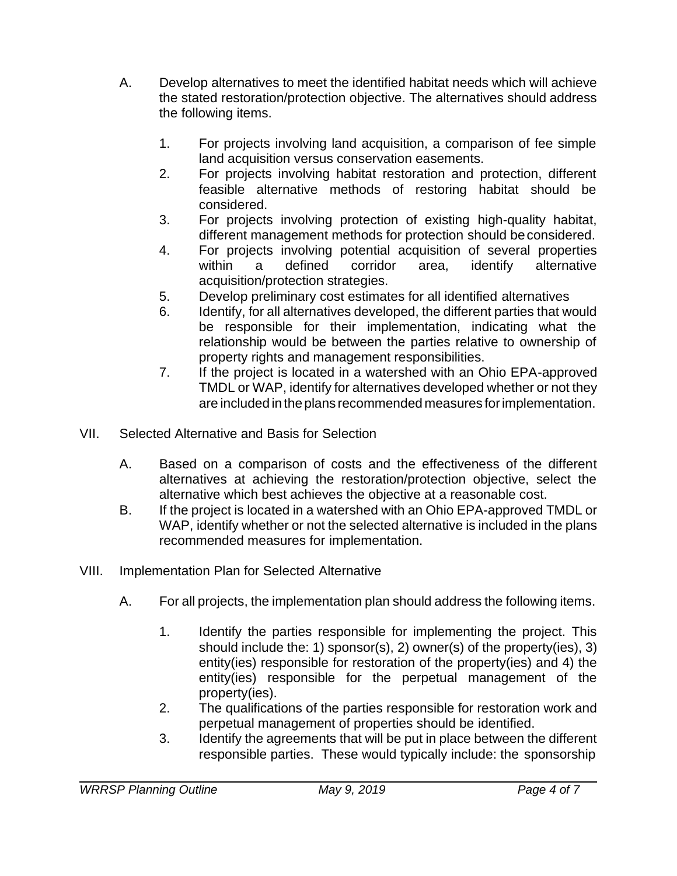- A. Develop alternatives to meet the identified habitat needs which will achieve the stated restoration/protection objective. The alternatives should address the following items.
	- 1. For projects involving land acquisition, a comparison of fee simple land acquisition versus conservation easements.
	- 2. For projects involving habitat restoration and protection, different feasible alternative methods of restoring habitat should be considered.
	- 3. For projects involving protection of existing high-quality habitat, different management methods for protection should beconsidered.
	- 4. For projects involving potential acquisition of several properties within a defined corridor area, identify alternative acquisition/protection strategies.
	- 5. Develop preliminary cost estimates for all identified alternatives
	- 6. Identify, for all alternatives developed, the different parties that would be responsible for their implementation, indicating what the relationship would be between the parties relative to ownership of property rights and management responsibilities.
	- 7. If the project is located in a watershed with an Ohio EPA-approved TMDL or WAP, identify for alternatives developed whether or not they are included in the plans recommended measures forimplementation.
- VII. Selected Alternative and Basis for Selection
	- A. Based on a comparison of costs and the effectiveness of the different alternatives at achieving the restoration/protection objective, select the alternative which best achieves the objective at a reasonable cost.
	- B. If the project is located in a watershed with an Ohio EPA-approved TMDL or WAP, identify whether or not the selected alternative is included in the plans recommended measures for implementation.
- VIII. Implementation Plan for Selected Alternative
	- A. For all projects, the implementation plan should address the following items.
		- 1. Identify the parties responsible for implementing the project. This should include the: 1) sponsor(s), 2) owner(s) of the property(ies), 3) entity(ies) responsible for restoration of the property(ies) and 4) the entity(ies) responsible for the perpetual management of the property(ies).
		- 2. The qualifications of the parties responsible for restoration work and perpetual management of properties should be identified.
		- 3. Identify the agreements that will be put in place between the different responsible parties. These would typically include: the sponsorship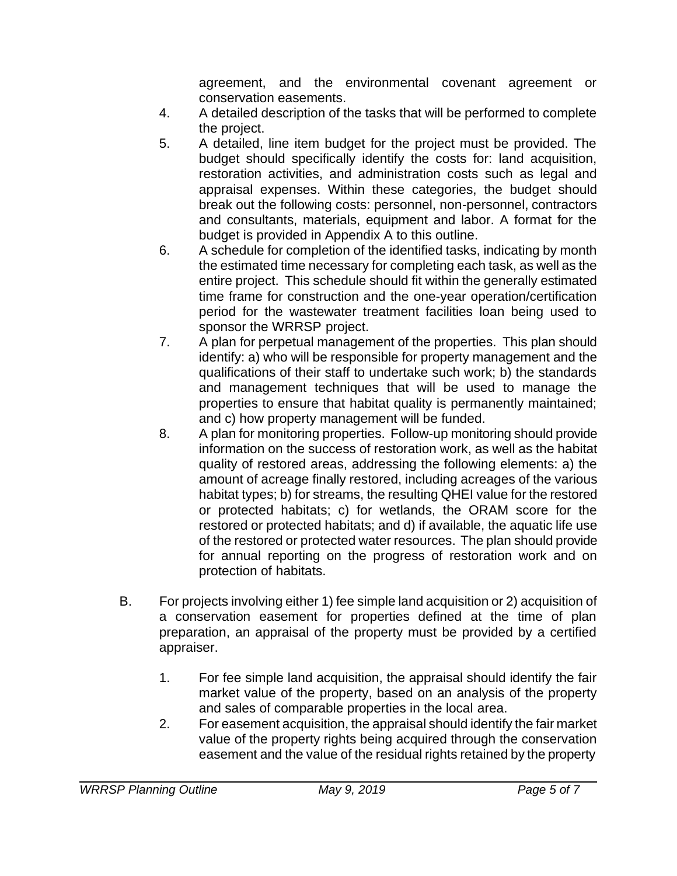agreement, and the environmental covenant agreement or conservation easements.

- 4. A detailed description of the tasks that will be performed to complete the project.
- 5. A detailed, line item budget for the project must be provided. The budget should specifically identify the costs for: land acquisition, restoration activities, and administration costs such as legal and appraisal expenses. Within these categories, the budget should break out the following costs: personnel, non-personnel, contractors and consultants, materials, equipment and labor. A format for the budget is provided in Appendix A to this outline.
- 6. A schedule for completion of the identified tasks, indicating by month the estimated time necessary for completing each task, as well as the entire project. This schedule should fit within the generally estimated time frame for construction and the one-year operation/certification period for the wastewater treatment facilities loan being used to sponsor the WRRSP project.
- 7. A plan for perpetual management of the properties. This plan should identify: a) who will be responsible for property management and the qualifications of their staff to undertake such work; b) the standards and management techniques that will be used to manage the properties to ensure that habitat quality is permanently maintained; and c) how property management will be funded.
- 8. A plan for monitoring properties. Follow-up monitoring should provide information on the success of restoration work, as well as the habitat quality of restored areas, addressing the following elements: a) the amount of acreage finally restored, including acreages of the various habitat types; b) for streams, the resulting QHEI value for the restored or protected habitats; c) for wetlands, the ORAM score for the restored or protected habitats; and d) if available, the aquatic life use of the restored or protected water resources. The plan should provide for annual reporting on the progress of restoration work and on protection of habitats.
- B. For projects involving either 1) fee simple land acquisition or 2) acquisition of a conservation easement for properties defined at the time of plan preparation, an appraisal of the property must be provided by a certified appraiser.
	- 1. For fee simple land acquisition, the appraisal should identify the fair market value of the property, based on an analysis of the property and sales of comparable properties in the local area.
	- 2. For easement acquisition, the appraisal should identify the fair market value of the property rights being acquired through the conservation easement and the value of the residual rights retained by the property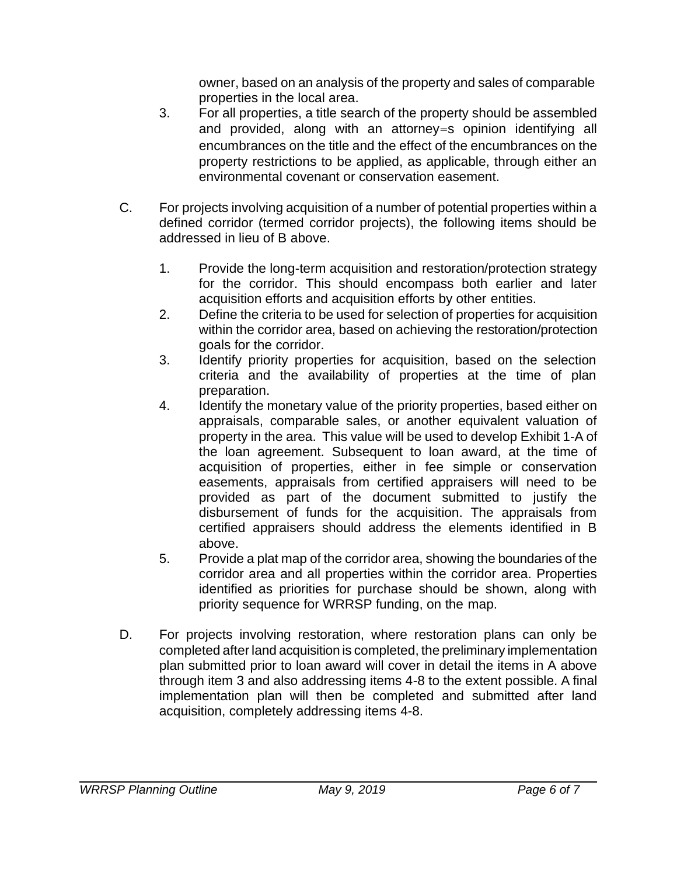owner, based on an analysis of the property and sales of comparable properties in the local area.

- 3. For all properties, a title search of the property should be assembled and provided, along with an attorney=s opinion identifying all encumbrances on the title and the effect of the encumbrances on the property restrictions to be applied, as applicable, through either an environmental covenant or conservation easement.
- C. For projects involving acquisition of a number of potential properties within a defined corridor (termed corridor projects), the following items should be addressed in lieu of B above.
	- 1. Provide the long-term acquisition and restoration/protection strategy for the corridor. This should encompass both earlier and later acquisition efforts and acquisition efforts by other entities.
	- 2. Define the criteria to be used for selection of properties for acquisition within the corridor area, based on achieving the restoration/protection goals for the corridor.
	- 3. Identify priority properties for acquisition, based on the selection criteria and the availability of properties at the time of plan preparation.
	- 4. Identify the monetary value of the priority properties, based either on appraisals, comparable sales, or another equivalent valuation of property in the area. This value will be used to develop Exhibit 1-A of the loan agreement. Subsequent to loan award, at the time of acquisition of properties, either in fee simple or conservation easements, appraisals from certified appraisers will need to be provided as part of the document submitted to justify the disbursement of funds for the acquisition. The appraisals from certified appraisers should address the elements identified in B above.
	- 5. Provide a plat map of the corridor area, showing the boundaries of the corridor area and all properties within the corridor area. Properties identified as priorities for purchase should be shown, along with priority sequence for WRRSP funding, on the map.
- D. For projects involving restoration, where restoration plans can only be completed after land acquisition is completed, the preliminary implementation plan submitted prior to loan award will cover in detail the items in A above through item 3 and also addressing items 4-8 to the extent possible. A final implementation plan will then be completed and submitted after land acquisition, completely addressing items 4-8.